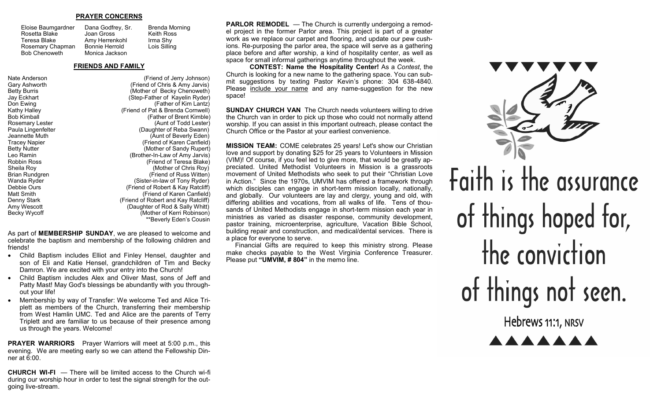#### **PRAYER CONCERNS**

Joan Gross

Eloise Baumgardner Rosetta Blake Teresa Blake Rosemary Chapman Bob Chenoweth

Dana Godfrey, Sr. Amy Herrenkohl Bonnie Herrold Monica Jackson Brenda Morning Keith Ross Irma Shy Lois Silling

#### **FRIENDS AND FAMILY**

Nate Anderson (Friend of Jerry Johnson) Gary Ashworth (Friend of Chris & Amy Jarvis) Betty Burris **Example 20 Becky Chenoweth**) Jay Eckhart (Step-Father of Kayelin Ryder) (Father of Kim Lantz) Kathy Halley (Friend of Pat & Brenda Cornwell) (Father of Brent Kimble) Rosemary Lester (Aunt of Todd Lester) Paula Lingenfelter (Daughter of Reba Swann)<br>Jeannette Muth (Daughter of Beverly Eden) Jeannette Muth (Aunt of Beverly Eden)<br>Tracey Napier (Aunt of Aunt of Aunt of Aunt of Aunt of Aunt of Aunt of Aunt of Aunt of Aunt of Aunt of Disc Tracey Napier **Tracew Napier 19 March 2018** (Friend of Karen Canfield)<br>Betty Nutter 1990 (Mother of Sandy Rupert) Betty Nutter (Mother of Sandy Rupert)<br>Leo Ramin (Mother-In-Law of Amy Jarvis) Leo Ramin (Brother-In-Law of Amy Jarvis) Robbin Ross (Friend of Teresa Blake)<br>
Sheila Rov (Mother of Chris Rov) (Mother of Chris Roy) Brian Rundgren (Friend of Russ Witten) Wanda Ryder **(Sister-in-law of Tony Ryder)** Debbie Ours (Friend of Robert & Kay Ratcliff) Matt Smith (Friend of Karen Canfield) Denny Stark (Friend of Robert and Kay Ratcliff)<br>Amy Wescott (Daughter of Rod & Sally Whitt) (Daughter of Rod & Sally Whitt) Becky Wycoff **Example 20 Becky Wycoff Mother of Kerri Robinson**) \*\*Beverly Eden's Cousin

As part of **MEMBERSHIP SUNDAY**, we are pleased to welcome and celebrate the baptism and membership of the following children and friends!

- Child Baptism includes Elliot and Finley Hensel, daughter and son of Eli and Katie Hensel, grandchildren of Tim and Becky Damron. We are excited with your entry into the Church!
- Child Baptism includes Alex and Oliver Mast, sons of Jeff and Patty Mast! May God's blessings be abundantly with you throughout your life!
- Membership by way of Transfer: We welcome Ted and Alice Triplett as members of the Church, transferring their membership from West Hamlin UMC. Ted and Alice are the parents of Terry Triplett and are familiar to us because of their presence among us through the years. Welcome!

**PRAYER WARRIORS** Prayer Warriors will meet at 5:00 p.m., this evening. We are meeting early so we can attend the Fellowship Dinner at 6:00.

**CHURCH WI-FI** — There will be limited access to the Church wi-fi during our worship hour in order to test the signal strength for the outgoing live-stream.

**PARLOR REMODEL** — The Church is currently undergoing a remodel project in the former Parlor area. This project is part of a greater work as we replace our carpet and flooring, and update our pew cushions. Re-purposing the parlor area, the space will serve as a gathering place before and after worship, a kind of hospitality center, as well as space for small informal gatherings anytime throughout the week.

**CONTEST: Name the Hospitality Center!** As a *Contest*, the Church is looking for a new name to the gathering space. You can submit suggestions by texting Pastor Kevin's phone: 304 638-4840. Please include your name and any name-suggestion for the new space!

**SUNDAY CHURCH VAN** The Church needs volunteers willing to drive the Church van in order to pick up those who could not normally attend worship. If you can assist in this important outreach, please contact the Church Office or the Pastor at your earliest convenience.

**MISSION TEAM:** COME celebrates 25 years! Let's show our Christian love and support by donating \$25 for 25 years to Volunteers in Mission (VIM)! Of course, if you feel led to give more, that would be greatly appreciated. United Methodist Volunteers in Mission is a grassroots movement of United Methodists who seek to put their "Christian Love in Action." Since the 1970s, UMVIM has offered a framework through which disciples can engage in short-term mission locally, nationally, and globally. Our volunteers are lay and clergy, young and old, with differing abilities and vocations, from all walks of life. Tens of thousands of United Methodists engage in short-term mission each year in ministries as varied as disaster response, community development, pastor training, microenterprise, agriculture, Vacation Bible School, building repair and construction, and medical/dental services. There is a place for everyone to serve.

 Financial Gifts are required to keep this ministry strong. Please make checks payable to the West Virginia Conference Treasurer. Please put **"UMVIM, # 804"** in the memo line.